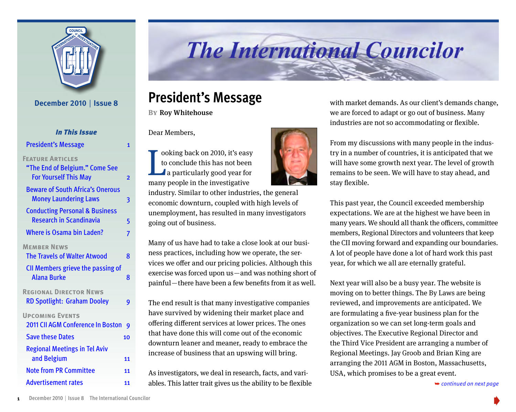

# **The International Councilor**

### **President's Message**

**BY** Roy Whitehouse

Dear Members,

ooking back on 2010, it's easy to conclude this has not been a particularly good year for ooking back on 2010, it's easy<br>to conclude this has not been<br>a particularly good year for<br>many people in the investigative

industry. Similar to other industries, the general economic downturn, coupled with high levels of unemployment, has resulted in many investigators going out of business.

Many of us have had to take a close look at our business practices, including how we operate, the services we offer and our pricing policies. Although this exercise was forced upon us — and was nothing short of painful—there have been a few benefits from it as well.

The end result is that many investigative companies have survived by widening their market place and offering different services at lower prices. The ones that have done this will come out of the economic downturn leaner and meaner, ready to embrace the increase of business that an upswing will bring.

As investigators, we deal in research, facts, and vari-Advertisement rates **11** ables. This latter trait gives us the ability to be flexible → continued on next page



with market demands. As our client's demands change, we are forced to adapt or go out of business. Many industries are not so accommodating or flexible.



This past year, the Council exceeded membership expectations. We are at the highest we have been in many years. We should all thank the officers, committee members, Regional Directors and volunteers that keep the CII moving forward and expanding our boundaries. A lot of people have done a lot of hard work this past year, for which we all are eternally grateful.

Next year will also be a busy year. The website is moving on to better things. The By Laws are being reviewed, and improvements are anticipated. We are formulating a five-year business plan for the organization so we can set long-term goals and objectives. The Executive Regional Director and the Third Vice President are arranging a number of Regional Meetings. Jay Groob and Brian King are arranging the 2011 AGM in Boston, Massachusetts, USA, which promises to be a great event.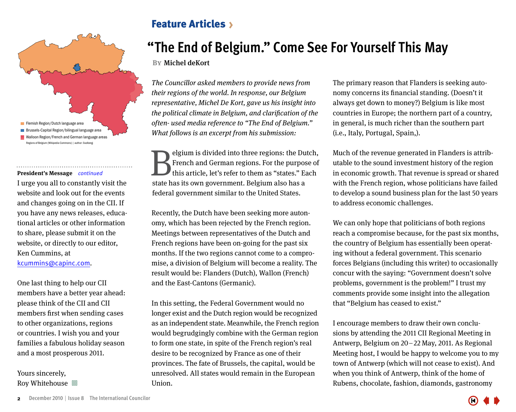<span id="page-1-0"></span>

#### **President's Message** *continued*

I urge you all to constantly visit the website and look out for the events and changes going on in the CII. If you have any news releases, educational articles or other information to share, please submit it on the website, or directly to our editor, Ken Cummins, at kcummins@capinc.com.

One last thing to help our CII members have a better year ahead: please think of the CII and CII members first when sending cases to other organizations, regions or countries. I wish you and your families a fabulous holiday season and a most prosperous 2011.

Yours sincerely, Roy Whitehouse  $\Box$ 

### Feature Articles

### **"The End of Belgium." Come See For Yourself This May**

**By**Michel deKort

The Councillor asked members to provide news from their regions of the world. In response, our Belgium representative, Michel De Kort, gave us his insight into the political climate in Belgium, and clarification of the often- used media reference to "The End of Belgium." What follows is an excerpt from his submission:

Elgium is divided into three regions: the Dutch,<br>French and German regions. For the purpose of<br>this article, let's refer to them as "states." Each<br>state has its own government. Belgium also has a French and German regions. For the purpose of this article, let's refer to them as "states." Each state has its own government. Belgium also has a federal government similar to the United States.

Recently, the Dutch have been seeking more autonomy, which has been rejected by the French region. Meetings between representatives of the Dutch and French regions have been on-going for the past six months. If the two regions cannot come to a compromise, a division of Belgium will become a reality. The result would be: Flanders (Dutch), Wallon (French) and the East-Cantons (Germanic).

In this setting, the Federal Government would no longer exist and the Dutch region would be recognized as an independent state. Meanwhile, the French region would begrudgingly combine with the German region to form one state, in spite of the French region's real desire to be recognized by France as one of their provinces. The fate of Brussels, the capital, would be unresolved. All states would remain in the European Union.

The primary reason that Flanders is seeking autonomy concerns its financial standing. (Doesn't it always get down to money?) Belgium is like most countries in Europe; the northern part of a country, in general, is much richer than the southern part (i.e., Italy, Portugal, Spain,).

Much of the revenue generated in Flanders is attributable to the sound investment history of the region in economic growth. That revenue is spread or shared with the French region, whose politicians have failed to develop a sound business plan for the last 50 years to address economic challenges.

We can only hope that politicians of both regions reach a compromise because, for the past six months, the country of Belgium has essentially been operating without a federal government. This scenario forces Belgians (including this writer) to occasionally concur with the saying: "Government doesn't solve problems, government is the problem!" I trust my comments provide some insight into the allegation that "Belgium has ceased to exist."

I encourage members to draw their own conclusions by attending the 2011 CII Regional Meeting in Antwerp, Belgium on 20 – 22 May, 2011. As Regional Meeting host, I would be happy to welcome you to my town of Antwerp (which will not cease to exist). And when you think of Antwerp, think of the home of Rubens, chocolate, fashion, diamonds, gastronomy

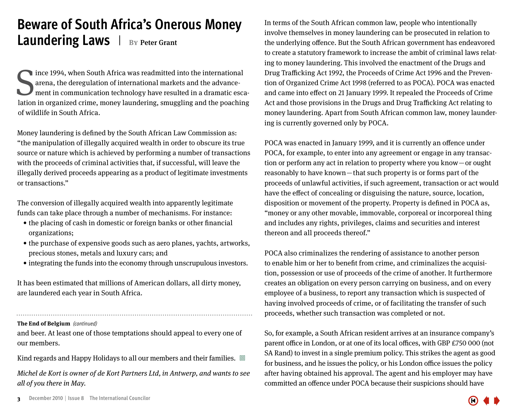### <span id="page-2-0"></span>**Beware of South Africa's Onerous Money Laundering Laws**  $\parallel$  BY Peter Grant

Since 1994, when South Africa was readmitted into the international arena, the deregulation of international markets and the advancement in communication technology have resulted in a dramatic escalation in organized crime ince 1994, when South Africa was readmitted into the international arena, the deregulation of international markets and the advancement in communication technology have resulted in a dramatic escaof wildlife in South Africa.

Money laundering is defined by the South African Law Commission as: "the manipulation of illegally acquired wealth in order to obscure its true source or nature which is achieved by performing a number of transactions with the proceeds of criminal activities that, if successful, will leave the illegally derived proceeds appearing as a product of legitimate investments or transactions."

The conversion of illegally acquired wealth into apparently legitimate funds can take place through a number of mechanisms. For instance:

- the placing of cash in domestic or foreign banks or other financial organizations;
- the purchase of expensive goods such as aero planes, yachts, artworks, precious stones, metals and luxury cars; and
- integrating the funds into the economy through unscrupulous investors.

It has been estimated that millions of American dollars, all dirty money, are laundered each year in South Africa.

**The End of Belgium** *(continued)*

and beer. At least one of those temptations should appeal to every one of our members.

Kind regards and Happy Holidays to all our members and their families.  $\Box$ 

Michel de Kort is owner of de Kort Partners Ltd, in Antwerp, and wants to see all of you there in May.

In terms of the South African common law, people who intentionally involve themselves in money laundering can be prosecuted in relation to the underlying offence. But the South African government has endeavored to create a statutory framework to increase the ambit of criminal laws relating to money laundering. This involved the enactment of the Drugs and Drug Trafficking Act 1992, the Proceeds of Crime Act 1996 and the Prevention of Organized Crime Act 1998 (referred to as POCA). POCA was enacted and came into effect on 21 January 1999. It repealed the Proceeds of Crime Act and those provisions in the Drugs and Drug Trafficking Act relating to money laundering. Apart from South African common law, money laundering is currently governed only by POCA.

POCA was enacted in January 1999, and it is currently an offence under POCA, for example, to enter into any agreement or engage in any transaction or perform any act in relation to property where you know — or ought reasonably to have known—that such property is or forms part of the proceeds of unlawful activities, if such agreement, transaction or act would have the effect of concealing or disguising the nature, source, location, disposition or movement of the property. Property is defined in POCA as, "money or any other movable, immovable, corporeal or incorporeal thing and includes any rights, privileges, claims and securities and interest thereon and all proceeds thereof."

POCA also criminalizes the rendering of assistance to another person to enable him or her to benefit from crime, and criminalizes the acquisition, possession or use of proceeds of the crime of another. It furthermore creates an obligation on every person carrying on business, and on every employee of a business, to report any transaction which is suspected of having involved proceeds of crime, or of facilitating the transfer of such proceeds, whether such transaction was completed or not.

So, for example, a South African resident arrives at an insurance company's parent office in London, or at one of its local offices, with GBP £750 000 (not SA Rand) to invest in a single premium policy. This strikes the agent as good for business, and he issues the policy, or his London office issues the policy after having obtained his approval. The agent and his employer may have committed an offence under POCA because their suspicions should have

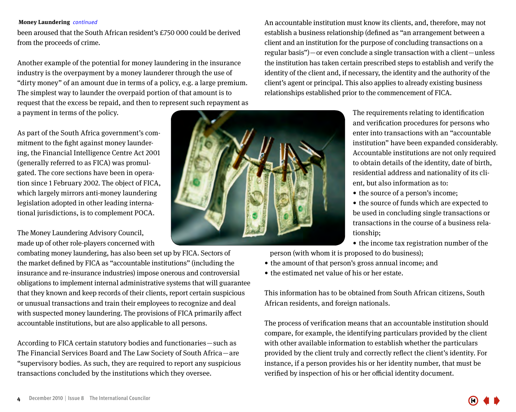#### **Money Laundering** *continued*

been aroused that the South African resident's £750 000 could be derived from the proceeds of crime.

Another example of the potential for money laundering in the insurance industry is the overpayment by a money launderer through the use of "dirty money" of an amount due in terms of a policy, e.g. a large premium. The simplest way to launder the overpaid portion of that amount is to request that the excess be repaid, and then to represent such repayment as

a payment in terms of the policy.

As part of the South Africa government's commitment to the fight against money laundering, the Financial Intelligence Centre Act 2001 (generally referred to as FICA) was promulgated. The core sections have been in operation since 1 February 2002. The object of FICA, which largely mirrors anti-money laundering legislation adopted in other leading international jurisdictions, is to complement POCA.

The Money Laundering Advisory Council, made up of other role-players concerned with

combating money laundering, has also been set up by FICA. Sectors of the market defined by FICA as "accountable institutions" (including the insurance and re-insurance industries) impose onerous and controversial obligations to implement internal administrative systems that will guarantee that they known and keep records of their clients, report certain suspicious or unusual transactions and train their employees to recognize and deal with suspected money laundering. The provisions of FICA primarily affect accountable institutions, but are also applicable to all persons.

According to FICA certain statutory bodies and functionaries — such as The Financial Services Board and The Law Society of South Africa — are "supervisory bodies. As such, they are required to report any suspicious transactions concluded by the institutions which they oversee.



An accountable institution must know its clients, and, therefore, may not establish a business relationship (defined as "an arrangement between a client and an institution for the purpose of concluding transactions on a regular basis")—or even conclude a single transaction with a client—unless the institution has taken certain prescribed steps to establish and verify the identity of the client and, if necessary, the identity and the authority of the client's agent or principal. This also applies to already existing business relationships established prior to the commencement of FICA.

> The requirements relating to identification and verification procedures for persons who enter into transactions with an "accountable institution" have been expanded considerably. Accountable institutions are not only required to obtain details of the identity, date of birth, residential address and nationality of its client, but also information as to:

• the source of a person's income;

• the source of funds which are expected to be used in concluding single transactions or transactions in the course of a business relationship;

• the income tax registration number of the person (with whom it is proposed to do business);

- the amount of that person's gross annual income; and
- the estimated net value of his or her estate.

This information has to be obtained from South African citizens, South African residents, and foreign nationals.

The process of verification means that an accountable institution should compare, for example, the identifying particulars provided by the client with other available information to establish whether the particulars provided by the client truly and correctly reflect the client's identity. For instance, if a person provides his or her identity number, that must be verified by inspection of his or her official identity document.

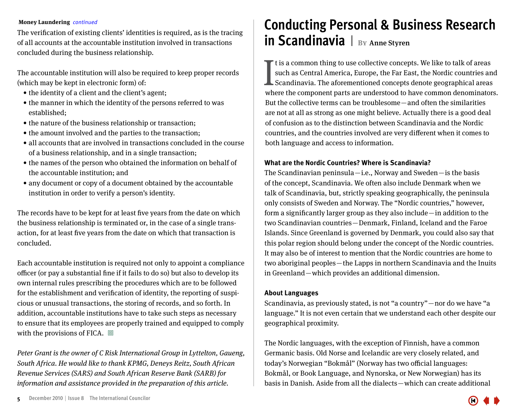#### <span id="page-4-0"></span>**Money Laundering** *continued*

The verification of existing clients' identities is required, as is the tracing of all accounts at the accountable institution involved in transactions concluded during the business relationship.

The accountable institution will also be required to keep proper records (which may be kept in electronic form) of:

- the identity of a client and the client's agent;
- $\bullet$  the manner in which the identity of the persons referred to was established;
- the nature of the business relationship or transaction;
- the amount involved and the parties to the transaction;
- all accounts that are involved in transactions concluded in the course of a business relationship, and in a single transaction;
- the names of the person who obtained the information on behalf of the accountable institution; and
- any document or copy of a document obtained by the accountable institution in order to verify a person's identity.

The records have to be kept for at least five years from the date on which the business relationship is terminated or, in the case of a single transaction, for at least five years from the date on which that transaction is concluded.

Each accountable institution is required not only to appoint a compliance officer (or pay a substantial fine if it fails to do so) but also to develop its own internal rules prescribing the procedures which are to be followed for the establishment and verification of identity, the reporting of suspicious or unusual transactions, the storing of records, and so forth. In addition, accountable institutions have to take such steps as necessary to ensure that its employees are properly trained and equipped to comply with the provisions of FICA.  $\Box$ 

Peter Grant is the owner of C Risk International Group in Lyttelton, Gaueng, South Africa. He would like to thank KPMG, Deneys Reitz, South African Revenue Services (SARS) and South African Reserve Bank (SARB) for information and assistance provided in the preparation of this article.

### **Conducting Personal & Business Research in Scandinavia**  $|$  BY Anne Styren

It is a common thing to use collective concepts. We like to talk of areas<br>such as Central America, Europe, the Far East, the Nordic countries and<br>Scandinavia. The aforementioned concepts denote geographical areas<br>where the t is a common thing to use collective concepts. We like to talk of areas such as Central America, Europe, the Far East, the Nordic countries and Scandinavia. The aforementioned concepts denote geographical areas But the collective terms can be troublesome—and often the similarities are not at all as strong as one might believe. Actually there is a good deal of confusion as to the distinction between Scandinavia and the Nordic

countries, and the countries involved are very different when it comes to both language and access to information.

#### **What are the Nordic Countries? Where is Scandinavia?**

The Scandinavian peninsula—i.e., Norway and Sweden—is the basis of the concept, Scandinavia. We often also include Denmark when we talk of Scandinavia, but, strictly speaking geographically, the peninsula only consists of Sweden and Norway. The "Nordic countries," however, form a significantly larger group as they also include — in addition to the two Scandinavian countries — Denmark, Finland, Iceland and the Faroe Islands. Since Greenland is governed by Denmark, you could also say that this polar region should belong under the concept of the Nordic countries. It may also be of interest to mention that the Nordic countries are home to two aboriginal peoples — the Lapps in northern Scandinavia and the Inuits in Greenland—which provides an additional dimension.

#### **About Languages**

Scandinavia, as previously stated, is not "a country" – nor do we have "a language." It is not even certain that we understand each other despite our geographical proximity.

The Nordic languages, with the exception of Finnish, have a common Germanic basis. Old Norse and Icelandic are very closely related, and today's Norwegian "Bokmål" (Norway has two official languages: Bokmål, or Book Language, and Nynorska, or New Norwegian) has its basis in Danish. Aside from all the dialects — which can create additional

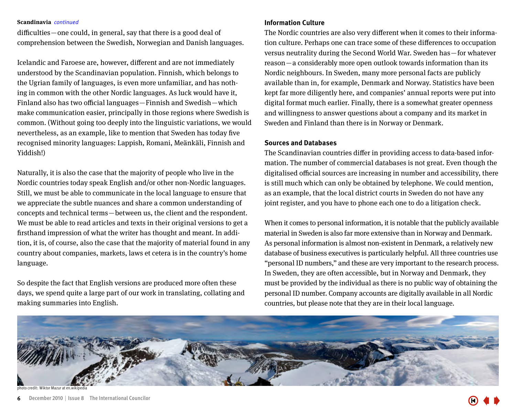#### **Scandinavia** *continued*

difficulties—one could, in general, say that there is a good deal of comprehension between the Swedish, Norwegian and Danish languages.

Icelandic and Faroese are, however, different and are not immediately understood by the Scandinavian population. Finnish, which belongs to the Ugrian family of languages, is even more unfamiliar, and has nothing in common with the other Nordic languages. As luck would have it, Finland also has two official languages – Finnish and Swedish – which make communication easier, principally in those regions where Swedish is common. (Without going too deeply into the linguistic variations, we would nevertheless, as an example, like to mention that Sweden has today five recognised minority languages: Lappish, Romani, Meänkäli, Finnish and Yiddish!)

Naturally, it is also the case that the majority of people who live in the Nordic countries today speak English and/or other non-Nordic languages. Still, we must be able to communicate in the local language to ensure that we appreciate the subtle nuances and share a common understanding of concepts and technical terms — between us, the client and the respondent. We must be able to read articles and texts in their original versions to get a firsthand impression of what the writer has thought and meant. In addition, it is, of course, also the case that the majority of material found in any country about companies, markets, laws et cetera is in the country's home language.

So despite the fact that English versions are produced more often these days, we spend quite a large part of our work in translating, collating and making summaries into English.

#### **Information Culture**

The Nordic countries are also very different when it comes to their information culture. Perhaps one can trace some of these differences to occupation versus neutrality during the Second World War. Sweden has — for whatever reason — a considerably more open outlook towards information than its Nordic neighbours. In Sweden, many more personal facts are publicly available than in, for example, Denmark and Norway. Statistics have been kept far more diligently here, and companies' annual reports were put into digital format much earlier. Finally, there is a somewhat greater openness and willingness to answer questions about a company and its market in Sweden and Finland than there is in Norway or Denmark.

#### **Sources and Databases**

The Scandinavian countries differ in providing access to data-based information. The number of commercial databases is not great. Even though the digitalised official sources are increasing in number and accessibility, there is still much which can only be obtained by telephone. We could mention, as an example, that the local district courts in Sweden do not have any joint register, and you have to phone each one to do a litigation check.

When it comes to personal information, it is notable that the publicly available material in Sweden is also far more extensive than in Norway and Denmark. As personal information is almost non-existent in Denmark, a relatively new database of business executives is particularly helpful. All three countries use "personal ID numbers," and these are very important to the research process. In Sweden, they are often accessible, but in Norway and Denmark, they must be provided by the individual as there is no public way of obtaining the personal ID number. Company accounts are digitally available in all Nordic countries, but please note that they are in their local language.



Wiktor Mazur at en.wikipedia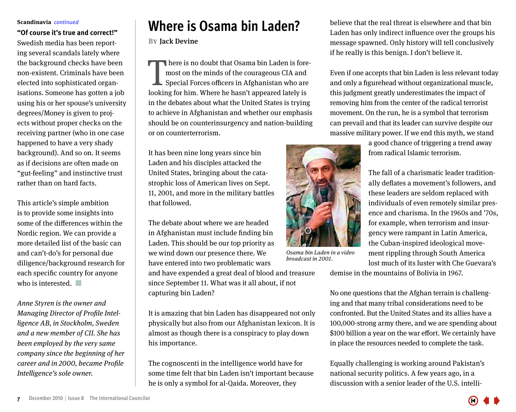#### <span id="page-6-0"></span>**Scandinavia** *continued*

**"Of course it's true and correct!"** Swedish media has been reporting several scandals lately where the background checks have been non-existent. Criminals have been elected into sophisticated organisations. Someone has gotten a job using his or her spouse's university degrees/Money is given to projects without proper checks on the receiving partner (who in one case happened to have a very shady background). And so on. It seems as if decisions are often made on "gut-feeling" and instinctive trust rather than on hard facts.

This article's simple ambition is to provide some insights into some of the differences within the Nordic region. We can provide a more detailed list of the basic can and can't-do's for personal due diligence/background research for each specific country for anyone who is interested.  $\Box$ 

Anne Styren is the owner and Managing Director of Profile Intelligence AB, in Stockholm, Sweden and a new member of CII. She has been employed by the very same company since the beginning of her career and in 2000, became Profile Intelligence's sole owner.

### **Where is Osama bin Laden?**

#### **By** Jack Devine

here is no doubt that Osama bin Laden is foremost on the minds of the courageous CIA and Special Forces officers in Afghanistan who are I here is no doubt that Osama bin Laden is fore<br>most on the minds of the courageous CIA and<br>Special Forces officers in Afghanistan who are<br>looking for him. Where he hasn't appeared lately is in the debates about what the United States is trying to achieve in Afghanistan and whether our emphasis should be on counterinsurgency and nation-building or on counterterrorism.

It has been nine long years since bin Laden and his disciples attacked the United States, bringing about the catastrophic loss of American lives on Sept. 11, 2001, and more in the military battles that followed.

The debate about where we are headed in Afghanistan must include finding bin Laden. This should be our top priority as we wind down our presence there. We have entered into two problematic wars

and have expended a great deal of blood and treasure since September 11. What was it all about, if not capturing bin Laden?

It is amazing that bin Laden has disappeared not only physically but also from our Afghanistan lexicon. It is almost as though there is a conspiracy to play down his importance.

The cognoscenti in the intelligence world have for some time felt that bin Laden isn't important because he is only a symbol for al-Qaida. Moreover, they

believe that the real threat is elsewhere and that bin Laden has only indirect influence over the groups his message spawned. Only history will tell conclusively if he really is this benign. I don't believe it.

Even if one accepts that bin Laden is less relevant today and only a figurehead without organizational muscle, this judgment greatly underestimates the impact of removing him from the center of the radical terrorist movement. On the run, he is a symbol that terrorism can prevail and that its leader can survive despite our massive military power. If we end this myth, we stand

> a good chance of triggering a trend away from radical Islamic terrorism.

The fall of a charismatic leader traditionally deflates a movement's followers, and these leaders are seldom replaced with individuals of even remotely similar presence and charisma. In the 1960s and '70s, for example, when terrorism and insurgency were rampant in Latin America, the Cuban-inspired ideological movement rippling through South America lost much of its luster with Che Guevara's

Osama bin Laden in a video broadcast in 2001.

demise in the mountains of Bolivia in 1967.

No one questions that the Afghan terrain is challenging and that many tribal considerations need to be confronted. But the United States and its allies have a 100,000-strong army there, and we are spending about \$100 billion a year on the war effort. We certainly have in place the resources needed to complete the task.

Equally challenging is working around Pakistan's national security politics. A few years ago, in a discussion with a senior leader of the U.S. intelli-



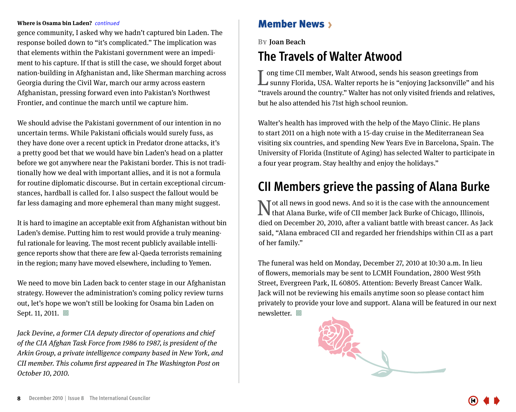#### <span id="page-7-0"></span>**Where is Osama bin Laden?** *continued* Member News >

gence community, I asked why we hadn't captured bin Laden. The response boiled down to "it's complicated." The implication was that elements within the Pakistani government were an impediment to his capture. If that is still the case, we should forget about nation-building in Afghanistan and, like Sherman marching across Georgia during the Civil War, march our army across eastern Afghanistan, pressing forward even into Pakistan's Northwest Frontier, and continue the march until we capture him.

We should advise the Pakistani government of our intention in no uncertain terms. While Pakistani officials would surely fuss, as they have done over a recent uptick in Predator drone attacks, it's a pretty good bet that we would have bin Laden's head on a platter before we got anywhere near the Pakistani border. This is not traditionally how we deal with important allies, and it is not a formula for routine diplomatic discourse. But in certain exceptional circumstances, hardball is called for. I also suspect the fallout would be far less damaging and more ephemeral than many might suggest.

It is hard to imagine an acceptable exit from Afghanistan without bin Laden's demise. Putting him to rest would provide a truly meaningful rationale for leaving. The most recent publicly available intelligence reports show that there are few al-Qaeda terrorists remaining in the region; many have moved elsewhere, including to Yemen.

We need to move bin Laden back to center stage in our Afghanistan strategy. However the administration's coming policy review turns out, let's hope we won't still be looking for Osama bin Laden on Sept. 11, 2011. □

Jack Devine, a former CIA deputy director of operations and chief of the CIA Afghan Task Force from 1986 to 1987, is president of the Arkin Group, a private intelligence company based in New York, and CII member. This column first appeared in The Washington Post on October 10, 2010.

**By** Joan Beach

### **The Travels of Walter Atwood**

ong time CII member, Walt Atwood, sends his season greetings from L**L** sunny Florida, USA. Walter reports he is "enjoying Jacksonville" and his "travels around the country." Walter has not only visited friends and relatives, but he also attended his 71st high school reunion.

Walter's health has improved with the help of the Mayo Clinic. He plans to start 2011 on a high note with a 15-day cruise in the Mediterranean Sea visiting six countries, and spending New Years Eve in Barcelona, Spain. The University of Florida (Institute of Aging) has selected Walter to participate in a four year program. Stay healthy and enjoy the holidays."

### **CII Members grieve the passing of Alana Burke**

Not all news in good news. And so it is the case with the announcement that Alana Burke, wife of CII member Jack Burke of Chicago, Illinois, died on December 20, 2010, after a valiant battle with breast cancer. As Jack said, "Alana embraced CII and regarded her friendships within CII as a part of her family."

The funeral was held on Monday, December 27, 2010 at 10:30 a.m. In lieu of flowers, memorials may be sent to LCMH Foundation, 2800 West 95th Street, Evergreen Park, IL 60805. Attention: Beverly Breast Cancer Walk. Jack will not be reviewing his emails anytime soon so please contact him privately to provide your love and support. Alana will be featured in our next newsletter. **□** 

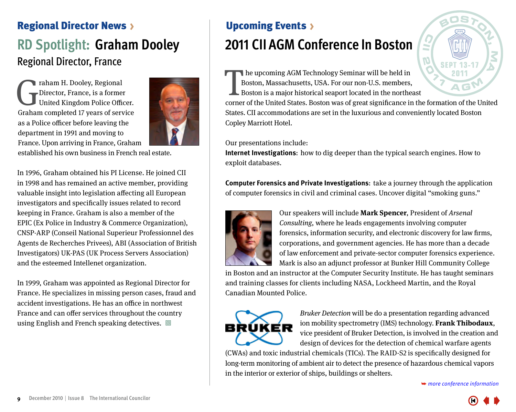### <span id="page-8-0"></span>Regional Director News

### **RD Spotlight: Graham Dooley** Regional Director, France

The Phalam H. Dooley, Regional<br>Director, France, is a former<br>United Kingdom Police Office<br>Graham completed 17 years of servi Director, France, is a former United Kingdom Police Officer. Graham completed 17 years of service as a Police officer before leaving the department in 1991 and moving to France. Upon arriving in France, Graham



established his own business in French real estate.

In 1996, Graham obtained his PI License. He joined CII in 1998 and has remained an active member, providing valuable insight into legislation affecting all European investigators and specifically issues related to record keeping in France. Graham is also a member of the EPIC (Ex Police in Industry & Commerce Organization), CNSP-ARP (Conseil National Superieur Professionnel des Agents de Recherches Privees), ABI (Association of British Investigators) UK-PAS (UK Process Servers Association) and the esteemed Intellenet organization.

In 1999, Graham was appointed as Regional Director for France. He specializes in missing person cases, fraud and accident investigations. He has an office in northwest France and can offer services throughout the country using English and French speaking detectives.  $\Box$ 

## **2011 CII AGM Conference In Boston** Upcoming Events

he upcoming AGM Technology Seminar will be held in Boston, Massachusetts, USA. For our non-U.S. members, Boston is a major historical seaport located in the northeast The upcoming AGM Technology Seminar will be held in<br>Boston, Massachusetts, USA. For our non-U.S. members,<br>Corner of the United States. Boston was of great significance in the formation of the United

States. CII accommodations are set in the luxurious and conveniently located Boston Copley Marriott Hotel.

#### Our presentations include:

**Internet Investigations:** how to dig deeper than the typical search engines. How to exploit databases.

**Computer Forensics and Private Investigations:** take a journey through the application of computer forensics in civil and criminal cases. Uncover digital "smoking guns."



Our speakers will include **Mark Spencer**, President of Arsenal Consulting, where he leads engagements involving computer forensics, information security, and electronic discovery for law firms, corporations, and government agencies. He has more than a decade of law enforcement and private-sector computer forensics experience. Mark is also an adjunct professor at Bunker Hill Community College

in Boston and an instructor at the Computer Security Institute. He has taught seminars and training classes for clients including NASA, Lockheed Martin, and the Royal Canadian Mounted Police.



Bruker Detection will be do a presentation regarding advanced ion mobility spectrometry (IMS) technology. **Frank Thibodaux**, vice president of Bruker Detection, is involved in the creation and design of devices for the detection of chemical warfare agents

(CWAs) and toxic industrial chemicals (TICs). The RAID-S2 is specifically designed for long-term monitoring of ambient air to detect the presence of hazardous chemical vapors in the interior or exterior of ships, buildings or shelters.

➥ *more conference information*

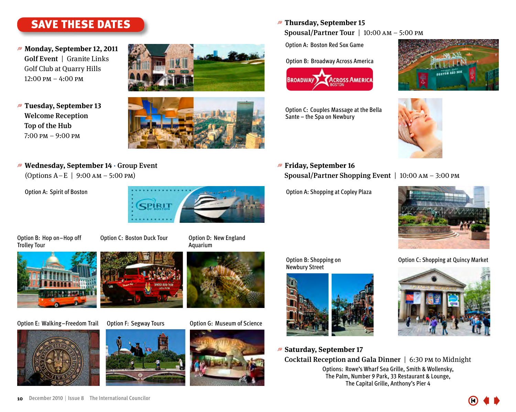### <span id="page-9-0"></span>SAVE THESE DATES

- *■* **Monday, September 12, 2011** Golf Event | Granite Links Golf Club at Quarry Hills 12:00 pm – 4:00 pm
- t **Tuesday, September 13** Welcome Reception Top of the Hub 7:00 pm – 9:00 pm





*■* **Wednesday, September 14 · Group Event** (Options A – E | 9:00 am – 5:00 pm)

Option A: Spirit of Boston



Option B: Hop on–Hop off Option C: Boston Duck Tour Trolley Tour





Option E: Walking-Freedom Trail Option F: Segway Tours Option G: Museum of Science









t **Thursday, September 15**

Spousal/Partner Tour | 10:00 am – 5:00 pm

Option A: Boston Red Sox Game

Option B: Broadway Across America



Option C: Couples Massage at the Bella Sante – the Spa on Newbury





*<b>#* Friday, September 16 Spousal/Partner Shopping Event | 10:00 am – 3:00 pm

Option A: Shopping at Copley Plaza



Option B: Shopping on Option C: Shopping at Quincy Market Newbury Street



*■* **Saturday, September 17** 



Cocktail Reception and Gala Dinner | 6:30 pm to Midnight Options: Rowe's Wharf Sea Grille, Smith & Wollensky, The Palm, Number 9 Park, 33 Restaurant & Lounge, The Capital Grille, Anthony's Pier 4